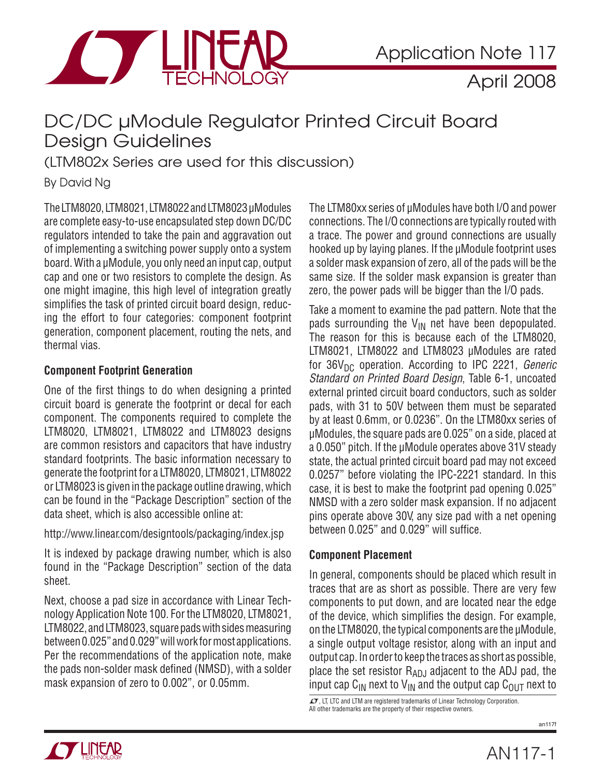

### DC/DC µModule Regulator Printed Circuit Board Design Guidelines

(LTM802x Series are used for this discussion)

By David Ng

The LTM8020, LTM8021, LTM8022 and LTM8023 μModules are complete easy-to-use encapsulated step down DC/DC regulators intended to take the pain and aggravation out of implementing a switching power supply onto a system board. With a μModule, you only need an input cap, output cap and one or two resistors to complete the design. As one might imagine, this high level of integration greatly simplifies the task of printed circuit board design, reducing the effort to four categories: component footprint generation, component placement, routing the nets, and thermal vias.

### **Component Footprint Generation**

One of the first things to do when designing a printed circuit board is generate the footprint or decal for each component. The components required to complete the LTM8020, LTM8021, LTM8022 and LTM8023 designs are common resistors and capacitors that have industry standard footprints. The basic information necessary to generate the footprint for a LTM8020, LTM8021, LTM8022 or LTM8023 is given in the package outline drawing, which can be found in the "Package Description" section of the data sheet, which is also accessible online at:

http://www.linear.com/designtools/packaging/index.jsp

It is indexed by package drawing number, which is also found in the "Package Description" section of the data sheet.

Next, choose a pad size in accordance with Linear Technology Application Note 100. For the LTM8020, LTM8021, LTM8022, and LTM8023, square pads with sides measuring between 0.025" and 0.029" will work for most applications. Per the recommendations of the application note, make the pads non-solder mask defined (NMSD), with a solder mask expansion of zero to 0.002", or 0.05mm.

The LTM80xx series of μModules have both I/O and power connections. The I/O connections are typically routed with a trace. The power and ground connections are usually hooked up by laying planes. If the μModule footprint uses a solder mask expansion of zero, all of the pads will be the same size. If the solder mask expansion is greater than zero, the power pads will be bigger than the I/O pads.

Take a moment to examine the pad pattern. Note that the pads surrounding the  $V_{IN}$  net have been depopulated. The reason for this is because each of the LTM8020, LTM8021, LTM8022 and LTM8023 μModules are rated for  $36V_{DC}$  operation. According to IPC 2221, *Generic* Standard on Printed Board Design, Table 6-1, uncoated external printed circuit board conductors, such as solder pads, with 31 to 50V between them must be separated by at least 0.6mm, or 0.0236". On the LTM80xx series of μModules, the square pads are 0.025" on a side, placed at a 0.050" pitch. If the μModule operates above 31V steady state, the actual printed circuit board pad may not exceed 0.0257" before violating the IPC-2221 standard. In this case, it is best to make the footprint pad opening 0.025" NMSD with a zero solder mask expansion. If no adjacent pins operate above 30V, any size pad with a net opening between 0.025" and 0.029" will suffice.

### **Component Placement**

In general, components should be placed which result in traces that are as short as possible. There are very few components to put down, and are located near the edge of the device, which simplifies the design. For example, on the LTM8020, the typical components are the μModule, a single output voltage resistor, along with an input and output cap. In order to keep the traces as short as possible, place the set resistor  $R_{AD,J}$  adjacent to the ADJ pad, the input cap C<sub>IN</sub> next to V<sub>IN</sub> and the output cap C<sub>OUT</sub> next to

 $\sqrt{17}$ , LT, LTC and LTM are registered trademarks of Linear Technology Corporation. All other trademarks are the property of their respective owners.

an117f

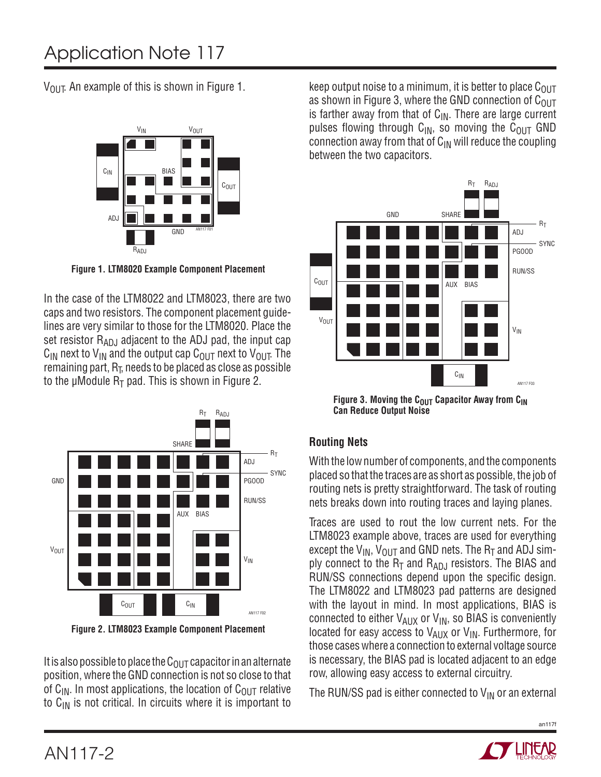$V_{OIII}$ . An example of this is shown in Figure 1.



**Figure 1. LTM8020 Example Component Placement**

In the case of the LTM8022 and LTM8023, there are two caps and two resistors. The component placement guidelines are very similar to those for the LTM8020. Place the set resistor  $R_{AD,I}$  adjacent to the ADJ pad, the input cap  $C_{IN}$  next to  $V_{IN}$  and the output cap  $C_{OIII}$  next to  $V_{OIII}$ . The remaining part,  $R_{\overline{L}}$ , needs to be placed as close as possible to the μModule  $R_T$  pad. This is shown in Figure 2.



**Figure 2. LTM8023 Example Component Placement**

It is also possible to place the  $C_{OUT}$  capacitor in an alternate position, where the GND connection is not so close to that of  $C_{\text{IN}}$ . In most applications, the location of  $C_{\text{OUT}}$  relative to  $C_{IN}$  is not critical. In circuits where it is important to

keep output noise to a minimum, it is better to place  $C_{\text{OUT}}$ as shown in Figure 3, where the GND connection of  $C_{OUT}$ is farther away from that of  $C_{IN}$ . There are large current pulses flowing through  $C_{IN}$ , so moving the  $C_{OUT}$  GND connection away from that of  $C_{IN}$  will reduce the coupling between the two capacitors.



Figure 3. Moving the C<sub>OUT</sub> Capacitor Away from C<sub>IN</sub> **Can Reduce Output Noise**

### **Routing Nets**

With the low number of components, and the components placed so that the traces are as short as possible, the job of routing nets is pretty straightforward. The task of routing nets breaks down into routing traces and laying planes.

Traces are used to rout the low current nets. For the LTM8023 example above, traces are used for everything except the  $V_{IN}$ ,  $V_{OUT}$  and GND nets. The  $R_T$  and ADJ simply connect to the  $R_T$  and  $R_{ADJ}$  resistors. The BIAS and RUN/SS connections depend upon the specific design. The LTM8022 and LTM8023 pad patterns are designed with the layout in mind. In most applications, BIAS is connected to either  $V_{AUX}$  or  $V_{IN}$ , so BIAS is conveniently located for easy access to  $V_{AUX}$  or  $V_{IN}$ . Furthermore, for those cases where a connection to external voltage source is necessary, the BIAS pad is located adjacent to an edge row, allowing easy access to external circuitry.

The RUN/SS pad is either connected to  $V_{IN}$  or an external

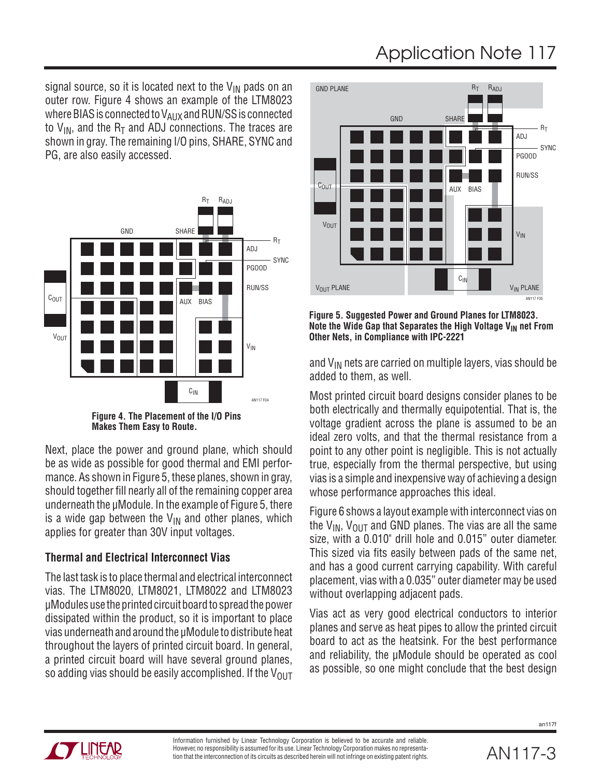# Application Note 117

signal source, so it is located next to the  $V_{IN}$  pads on an outer row. Figure 4 shows an example of the LTM8023 where BIAS is connected to V<sub>AUX</sub> and RUN/SS is connected to  $V_{IN}$ , and the R<sub>T</sub> and ADJ connections. The traces are shown in gray. The remaining I/O pins, SHARE, SYNC and PG, are also easily accessed.



**Figure 4. The Placement of the I/O Pins Makes Them Easy to Route.**

Next, place the power and ground plane, which should be as wide as possible for good thermal and EMI performance. As shown in Figure 5, these planes, shown in gray, should together fill nearly all of the remaining copper area underneath the μModule. In the example of Figure 5, there is a wide gap between the  $V_{IN}$  and other planes, which applies for greater than 30V input voltages.

### **Thermal and Electrical Interconnect Vias**

The last task is to place thermal and electrical interconnect vias. The LTM8020, LTM8021, LTM8022 and LTM8023 μModules use the printed circuit board to spread the power dissipated within the product, so it is important to place vias underneath and around the μModule to distribute heat throughout the layers of printed circuit board. In general, a printed circuit board will have several ground planes, so adding vias should be easily accomplished. If the  $V_{OUT}$ 



**Figure 5. Suggested Power and Ground Planes for LTM8023.**  Note the Wide Gap that Separates the High Voltage V<sub>IN</sub> net From **Other Nets, in Compliance with IPC-2221**

and  $V_{IN}$  nets are carried on multiple layers, vias should be added to them, as well.

Most printed circuit board designs consider planes to be both electrically and thermally equipotential. That is, the voltage gradient across the plane is assumed to be an ideal zero volts, and that the thermal resistance from a point to any other point is negligible. This is not actually true, especially from the thermal perspective, but using vias is a simple and inexpensive way of achieving a design whose performance approaches this ideal.

Figure 6 shows a layout example with interconnect vias on the  $V_{IN}$ ,  $V_{OUT}$  and GND planes. The vias are all the same size, with a 0.010" drill hole and 0.015" outer diameter. This sized via fits easily between pads of the same net, and has a good current carrying capability. With careful placement, vias with a 0.035" outer diameter may be used without overlapping adjacent pads.

Vias act as very good electrical conductors to interior planes and serve as heat pipes to allow the printed circuit board to act as the heatsink. For the best performance and reliability, the μModule should be operated as cool as possible, so one might conclude that the best design